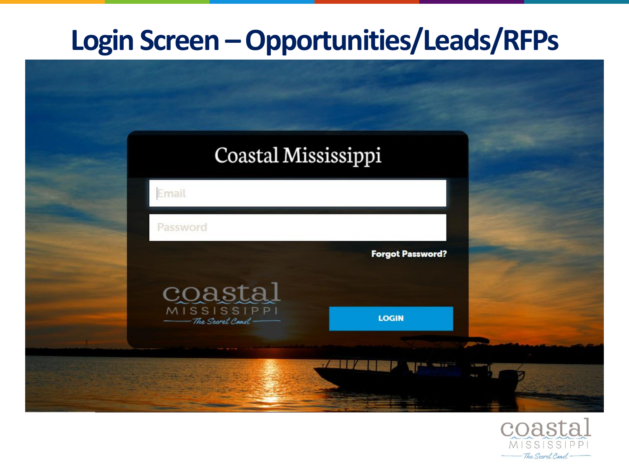#### **Login Screen –Opportunities/Leads/RFPs**



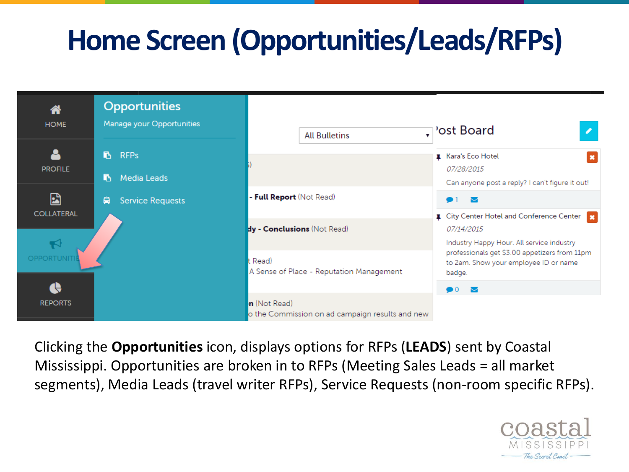## **Home Screen (Opportunities/Leads/RFPs)**



Clicking the **Opportunities** icon, displays options for RFPs (**LEADS**) sent by Coastal Mississippi. Opportunities are broken in to RFPs (Meeting Sales Leads = all market segments), Media Leads (travel writer RFPs), Service Requests (non-room specific RFPs).

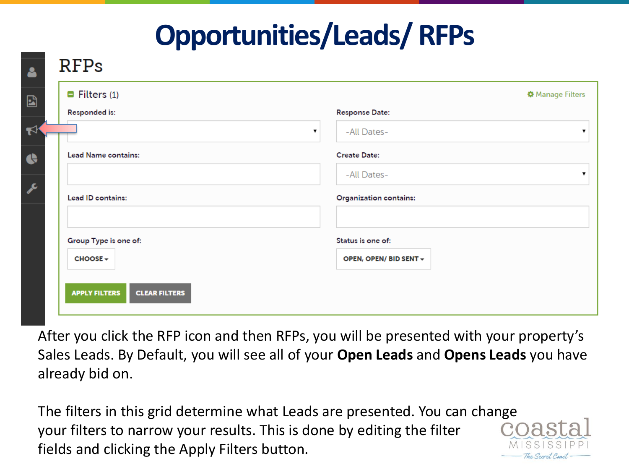#### **Opportunities/Leads/ RFPs**

| Responded is:              | <b>Response Date:</b>         |
|----------------------------|-------------------------------|
|                            | -All Dates-<br>▼              |
| <b>Lead Name contains:</b> | <b>Create Date:</b>           |
|                            | -All Dates-                   |
| Lead ID contains:          | <b>Organization contains:</b> |
| Group Type is one of:      | Status is one of:             |
| <b>CHOOSE</b> +            | OPEN, OPEN/ BID SENT +        |

After you click the RFP icon and then RFPs, you will be presented with your property's Sales Leads. By Default, you will see all of your **Open Leads** and **Opens Leads** you have already bid on.

The filters in this grid determine what Leads are presented. You can change your filters to narrow your results. This is done by editing the filter fields and clicking the Apply Filters button.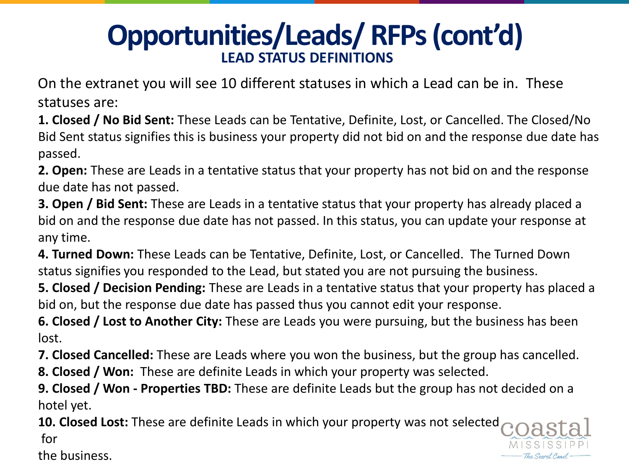#### **Opportunities/Leads/ RFPs (cont'd) LEAD STATUS DEFINITIONS**

On the extranet you will see 10 different statuses in which a Lead can be in. These statuses are:

**1. Closed / No Bid Sent:** These Leads can be Tentative, Definite, Lost, or Cancelled. The Closed/No Bid Sent status signifies this is business your property did not bid on and the response due date has passed.

**2. Open:** These are Leads in a tentative status that your property has not bid on and the response due date has not passed.

**3. Open / Bid Sent:** These are Leads in a tentative status that your property has already placed a bid on and the response due date has not passed. In this status, you can update your response at any time.

**4. Turned Down:** These Leads can be Tentative, Definite, Lost, or Cancelled. The Turned Down status signifies you responded to the Lead, but stated you are not pursuing the business.

**5. Closed / Decision Pending:** These are Leads in a tentative status that your property has placed a bid on, but the response due date has passed thus you cannot edit your response.

**6. Closed / Lost to Another City:** These are Leads you were pursuing, but the business has been lost.

**7. Closed Cancelled:** These are Leads where you won the business, but the group has cancelled.

**8. Closed / Won:** These are definite Leads in which your property was selected.

**9. Closed / Won - Properties TBD:** These are definite Leads but the group has not decided on a hotel yet.

**10. Closed Lost:** These are definite Leads in which your property was not selected for

the business.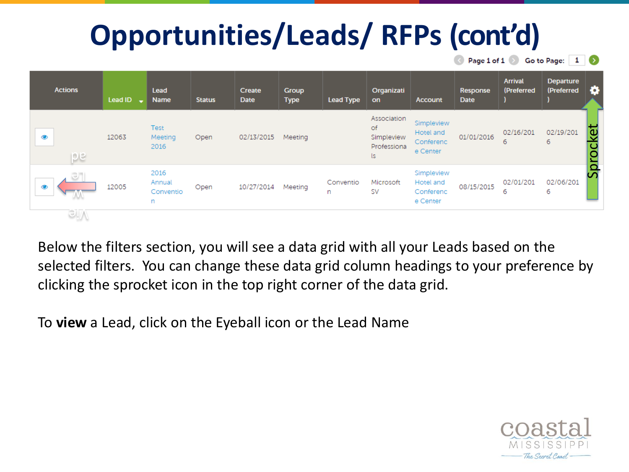

Below the filters section, you will see a data grid with all your Leads based on the selected filters. You can change these data grid column headings to your preference by clicking the sprocket icon in the top right corner of the data grid.

To **view** a Lead, click on the Eyeball icon or the Lead Name

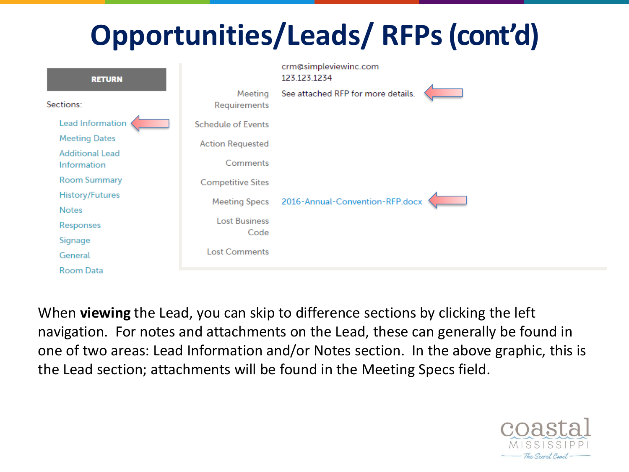| <b>RETURN</b>                         |                              | crm@simpleviewinc.com<br>123.123.1234 |  |
|---------------------------------------|------------------------------|---------------------------------------|--|
| Sections:                             | Meeting<br>Requirements      | See attached RFP for more details.    |  |
| Lead Information                      | <b>Schedule of Events</b>    |                                       |  |
| <b>Meeting Dates</b>                  | <b>Action Requested</b>      |                                       |  |
| <b>Additional Lead</b><br>Information | Comments                     |                                       |  |
| <b>Room Summary</b>                   | <b>Competitive Sites</b>     |                                       |  |
| <b>History/Futures</b>                | <b>Meeting Specs</b>         | 2016-Annual-Convention-RFP.docx       |  |
| <b>Notes</b>                          |                              |                                       |  |
| Responses                             | <b>Lost Business</b><br>Code |                                       |  |
| Signage                               |                              |                                       |  |
| General                               | <b>Lost Comments</b>         |                                       |  |
| Room Data                             |                              |                                       |  |

When **viewing** the Lead, you can skip to difference sections by clicking the left navigation. For notes and attachments on the Lead, these can generally be found in one of two areas: Lead Information and/or Notes section. In the above graphic, this is the Lead section; attachments will be found in the Meeting Specs field.

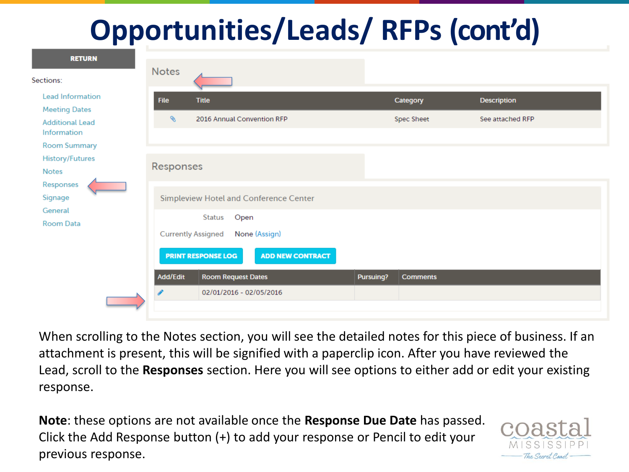| <b>RETURN</b>                                         |                  |                                                              |           |                        |                                        |
|-------------------------------------------------------|------------------|--------------------------------------------------------------|-----------|------------------------|----------------------------------------|
| Sections:                                             | <b>Notes</b>     |                                                              |           |                        |                                        |
| <b>Lead Information</b><br><b>Meeting Dates</b>       | <b>File</b><br>§ | <b>Title</b><br>2016 Annual Convention RFP                   |           | Category<br>Spec Sheet | <b>Description</b><br>See attached RFP |
| <b>Additional Lead</b><br>Information<br>Room Summary |                  |                                                              |           |                        |                                        |
| <b>History/Futures</b><br><b>Notes</b>                | Responses        |                                                              |           |                        |                                        |
| Responses<br>Signage<br>General                       |                  | Simpleview Hotel and Conference Center                       |           |                        |                                        |
| <b>Room Data</b>                                      |                  | Status<br>Open<br><b>Currently Assigned</b><br>None (Assign) |           |                        |                                        |
|                                                       |                  | <b>ADD NEW CONTRACT</b><br><b>PRINT RESPONSE LOG</b>         |           |                        |                                        |
|                                                       | Add/Edit<br>€    | <b>Room Request Dates</b><br>02/01/2016 - 02/05/2016         | Pursuing? | <b>Comments</b>        |                                        |

When scrolling to the Notes section, you will see the detailed notes for this piece of business. If an attachment is present, this will be signified with a paperclip icon. After you have reviewed the Lead, scroll to the **Responses** section. Here you will see options to either add or edit your existing response.

**Note**: these options are not available once the **Response Due Date** has passed. Click the Add Response button (+) to add your response or Pencil to edit your previous response.

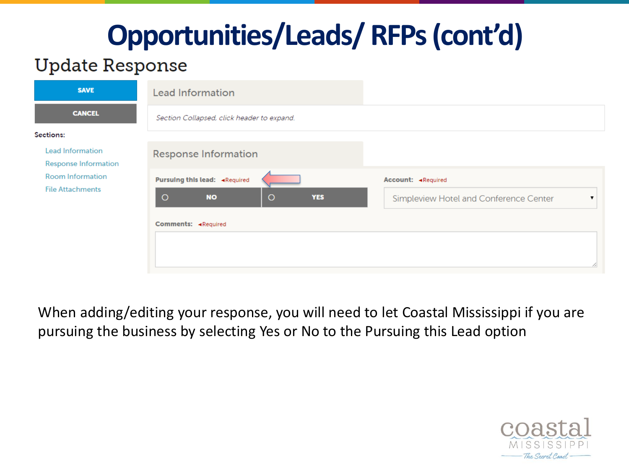#### **Update Response**

| <b>SAVE</b>                                            | <b>Lead Information</b>                       |                                        |
|--------------------------------------------------------|-----------------------------------------------|----------------------------------------|
| <b>CANCEL</b>                                          | Section Collapsed, click header to expand.    |                                        |
| Sections:                                              |                                               |                                        |
| <b>Lead Information</b><br><b>Response Information</b> | <b>Response Information</b>                   |                                        |
| <b>Room Information</b>                                | Pursuing this lead: «Required                 | Account: «Required                     |
| <b>File Attachments</b>                                | $\circ$<br>$\circ$<br><b>NO</b><br><b>YES</b> | Simpleview Hotel and Conference Center |
|                                                        | Comments: «Required                           |                                        |
|                                                        |                                               |                                        |

When adding/editing your response, you will need to let Coastal Mississippi if you are pursuing the business by selecting Yes or No to the Pursuing this Lead option

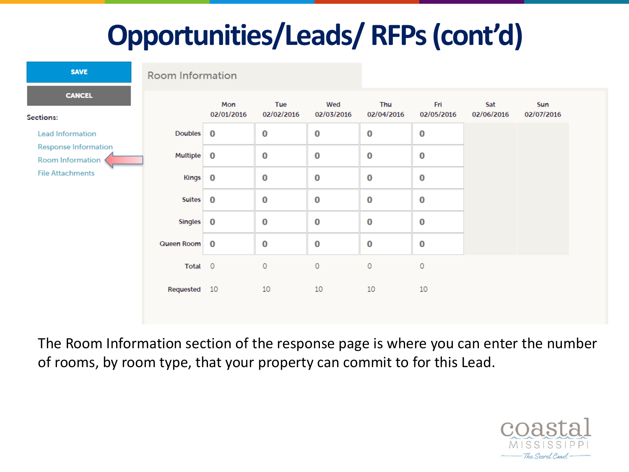| <b>SAVE</b>                                     | <b>Room Information</b> |                 |  |  |  |
|-------------------------------------------------|-------------------------|-----------------|--|--|--|
| <b>CANCEL</b><br>Sections:                      |                         | Mon<br>02/01/20 |  |  |  |
| <b>Lead Information</b>                         | <b>Doubles</b>          | 0               |  |  |  |
| <b>Response Information</b><br>Room Information | <b>Multiple</b>         | 0               |  |  |  |
| <b>File Attachments</b>                         | <b>Kings</b>            | 0               |  |  |  |
|                                                 | <b>Suites</b>           | Ω               |  |  |  |
|                                                 |                         |                 |  |  |  |

|                | Mon<br>02/01/2016 | Tue<br>02/02/2016 | Wed<br>02/03/2016 | Thu<br>02/04/2016 | Fri<br>02/05/2016 | Sat<br>02/06/2016 | Sun<br>02/07/2016 |
|----------------|-------------------|-------------------|-------------------|-------------------|-------------------|-------------------|-------------------|
| <b>Doubles</b> | $\bf{0}$          | $\bf{0}$          | 0                 | 0                 | $\bf{0}$          |                   |                   |
| Multiple       | $\bf{0}$          | $\bf{0}$          | $\bf{0}$          | 0                 | $\bf{0}$          |                   |                   |
| <b>Kings</b>   | $\bf{0}$          | $\bf{0}$          | $\bf{0}$          | 0                 | 0                 |                   |                   |
| <b>Suites</b>  | $\bf{0}$          | $\bf{0}$          | $\bf{0}$          | $\bf{0}$          | 0                 |                   |                   |
| <b>Singles</b> | $\bf{0}$          | $\bf{0}$          | $\bf{0}$          | 0                 | 0                 |                   |                   |
| Queen Room     | $\bf{0}$          | $\bf{0}$          | 0                 | 0                 | 0                 |                   |                   |
| Total 0        |                   | 0                 | 0                 | 0                 | 0                 |                   |                   |
| Requested 10   |                   | 10                | 10                | 10                | 10                |                   |                   |

The Room Information section of the response page is where you can enter the number of rooms, by room type, that your property can commit to for this Lead.

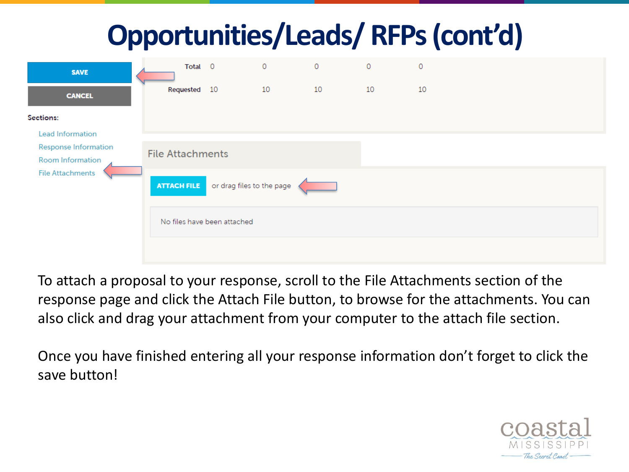| <b>SAVE</b>                                     | Total 0                                      |                             | 0  | $\circ$ | 0  | 0  |  |  |  |  |
|-------------------------------------------------|----------------------------------------------|-----------------------------|----|---------|----|----|--|--|--|--|
| <b>CANCEL</b>                                   | Requested 10                                 |                             | 10 | 10      | 10 | 10 |  |  |  |  |
| Sections:                                       |                                              |                             |    |         |    |    |  |  |  |  |
| <b>Lead Information</b>                         |                                              |                             |    |         |    |    |  |  |  |  |
| <b>Response Information</b><br>Room Information |                                              | <b>File Attachments</b>     |    |         |    |    |  |  |  |  |
| <b>File Attachments</b>                         | <b>ATTACH FILE</b> or drag files to the page |                             |    |         |    |    |  |  |  |  |
|                                                 |                                              | No files have been attached |    |         |    |    |  |  |  |  |
|                                                 |                                              |                             |    |         |    |    |  |  |  |  |

To attach a proposal to your response, scroll to the File Attachments section of the response page and click the Attach File button, to browse for the attachments. You can also click and drag your attachment from your computer to the attach file section.

Once you have finished entering all your response information don't forget to click the save button!

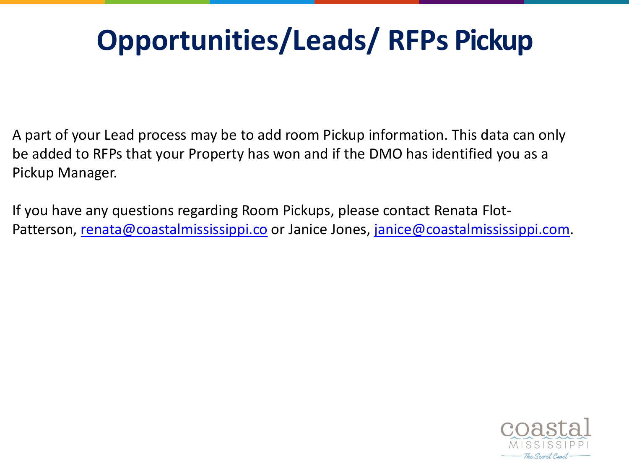#### **Opportunities/Leads/ RFPs Pickup**

A part of your Lead process may be to add room Pickup information. This data can only be added to RFPs that your Property has won and if the DMO has identified you as a Pickup Manager.

If you have any questions regarding Room Pickups, please contact Renata FlotPatterson, [renata@coastalmississippi.co](mailto:renata@coastalmississippi.co) or Janice Jones, [janice@coastalmississippi.com.](mailto:janice@coastalmississippi.com)

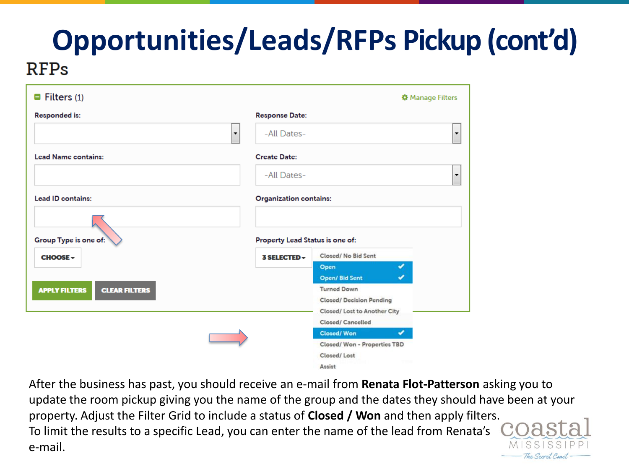| $\blacksquare$ Filters (1)                   |                                 | <b><math>\$</math></b> Manage Filters |
|----------------------------------------------|---------------------------------|---------------------------------------|
| <b>Responded is:</b>                         | <b>Response Date:</b>           |                                       |
|                                              | -All Dates-<br>۰                | ۰                                     |
| <b>Lead Name contains:</b>                   | <b>Create Date:</b>             |                                       |
|                                              | -All Dates-                     | $\overline{\phantom{a}}$              |
| <b>Lead ID contains:</b>                     | <b>Organization contains:</b>   |                                       |
| Group Type is one of:                        | Property Lead Status is one of: |                                       |
| <b>CHOOSE -</b>                              | 3 SELECTED ~                    | Closed/No Bid Sent                    |
|                                              |                                 | ᢦ<br>Open                             |
|                                              |                                 | ×.<br><b>Open/Bid Sent</b>            |
| <b>CLEAR FILTERS</b><br><b>APPLY FILTERS</b> |                                 | <b>Turned Down</b>                    |
|                                              |                                 | <b>Closed/ Decision Pending</b>       |
|                                              |                                 | Closed/ Lost to Another City          |
|                                              |                                 | Closed/ Cancelled                     |
|                                              |                                 | Closed/Won<br>✔                       |
|                                              |                                 | Closed/Won - Properties TBD           |
|                                              |                                 | Closed/Lost                           |
|                                              |                                 | Assist                                |

After the business has past, you should receive an e-mail from **Renata Flot-Patterson** asking you to update the room pickup giving you the name of the group and the dates they should have been at your property. Adjust the Filter Grid to include a status of **Closed / Won** and then apply filters. To limit the results to a specific Lead, you can enter the name of the lead from Renata's e-mail.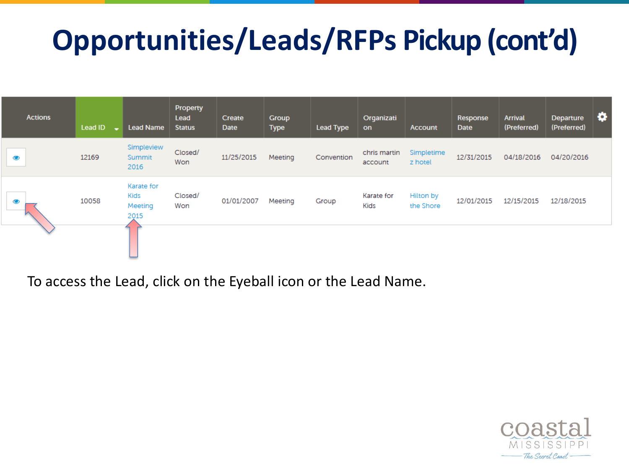| <b>Actions</b> | Lead ID | <b>Lead Name</b>                      | Property<br>Lead<br><b>Status</b> | Create<br><b>Date</b> | Group<br><b>Type</b> | <b>Lead Type</b> | Organizati<br>on          | <b>Account</b>         | Response<br><b>Date</b> | <b>Arrival</b><br>(Preferred) | Departure<br>(Preferred) | ۰ |
|----------------|---------|---------------------------------------|-----------------------------------|-----------------------|----------------------|------------------|---------------------------|------------------------|-------------------------|-------------------------------|--------------------------|---|
| $\bullet$      | 12169   | Simpleview<br>Summit<br>2016          | Closed/<br>Won                    | 11/25/2015            | Meeting              | Convention       | chris martin<br>account   | Simpletime<br>z hotel  | 12/31/2015              | 04/18/2016                    | 04/20/2016               |   |
| $\bullet$      | 10058   | Karate for<br>Kids<br>Meeting<br>2015 | Closed/<br>Won                    | 01/01/2007            | Meeting              | Group            | Karate for<br><b>Kids</b> | Hilton by<br>the Shore | 12/01/2015              | 12/15/2015                    | 12/18/2015               |   |
|                |         |                                       |                                   |                       |                      |                  |                           |                        |                         |                               |                          |   |

To access the Lead, click on the Eyeball icon or the Lead Name.

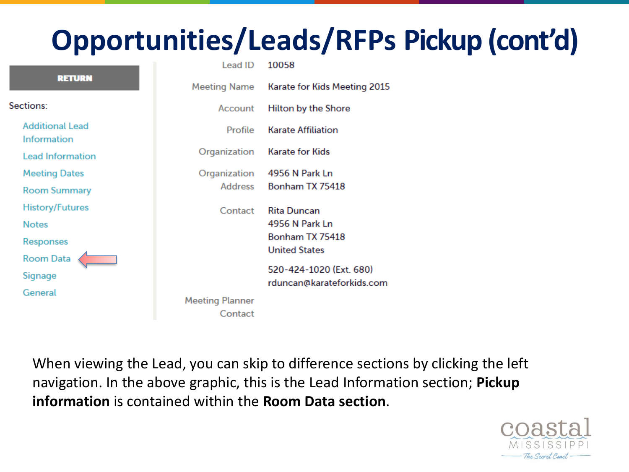|                                       | Lead ID                | 10058                        |
|---------------------------------------|------------------------|------------------------------|
| <b>RETURN</b>                         | Meeting Name           | Karate for Kids Meeting 2015 |
| Sections:                             | Account                | <b>Hilton by the Shore</b>   |
| <b>Additional Lead</b><br>Information | Profile                | <b>Karate Affiliation</b>    |
| <b>Lead Information</b>               | Organization           | <b>Karate for Kids</b>       |
| <b>Meeting Dates</b>                  | Organization           | 4956 N Park Ln               |
| <b>Room Summary</b>                   | Address                | Bonham TX 75418              |
| <b>History/Futures</b>                | Contact                | <b>Rita Duncan</b>           |
| <b>Notes</b>                          |                        | 4956 N Park Ln               |
| Responses                             |                        | Bonham TX 75418              |
| <b>Room Data</b>                      |                        | <b>United States</b>         |
| Signage                               |                        | 520-424-1020 (Ext. 680)      |
| General                               |                        | rduncan@karateforkids.com    |
|                                       | <b>Meeting Planner</b> |                              |
|                                       | Contact                |                              |

When viewing the Lead, you can skip to difference sections by clicking the left navigation. In the above graphic, this is the Lead Information section; **Pickup information** is contained within the **Room Data section**.

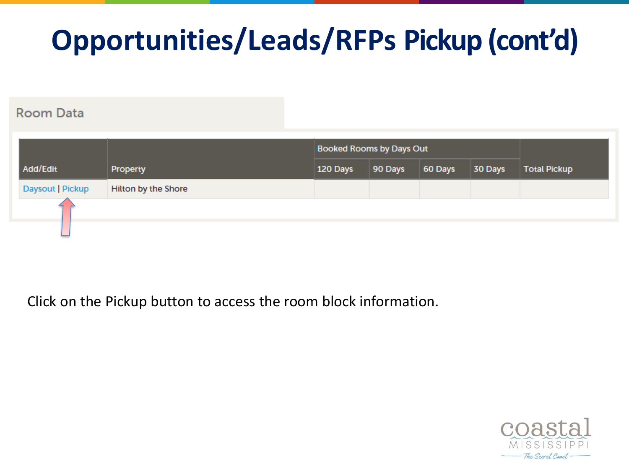#### **Room Data**

|                  |                            | <b>Booked Rooms by Days Out</b> |         |         |         |                     |
|------------------|----------------------------|---------------------------------|---------|---------|---------|---------------------|
| Add/Edit         | Property                   | 120 Days                        | 90 Days | 60 Days | 30 Days | <b>Total Pickup</b> |
| Daysout   Pickup | <b>Hilton by the Shore</b> |                                 |         |         |         |                     |
|                  |                            |                                 |         |         |         |                     |
|                  |                            |                                 |         |         |         |                     |

Click on the Pickup button to access the room block information.